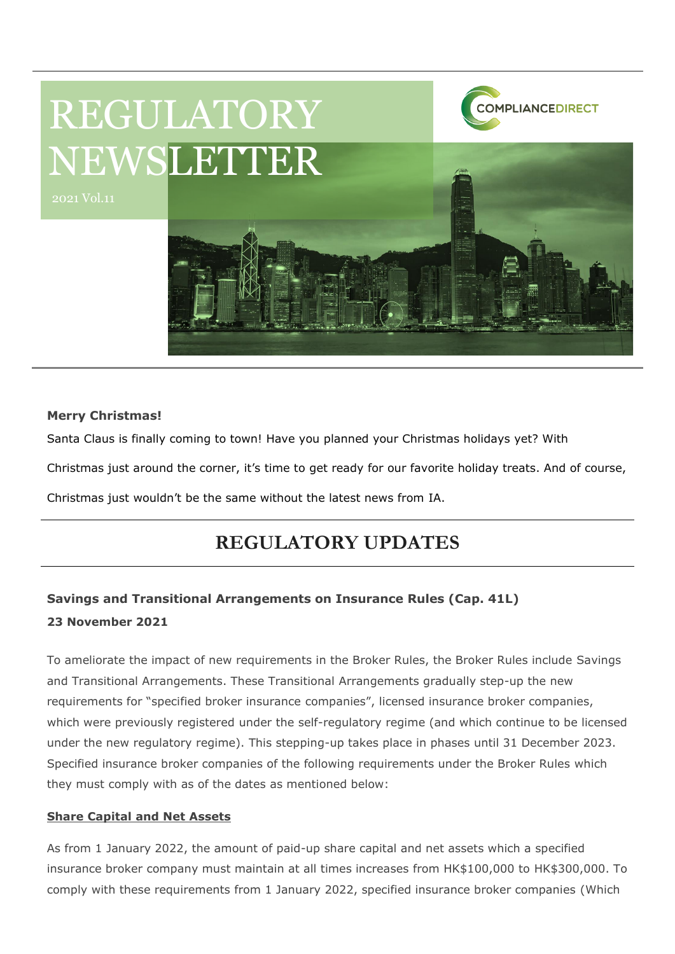

#### **Merry Christmas!**

Santa Claus is finally coming to town! Have you planned your Christmas holidays yet? With

Christmas just around the corner, it's time to get ready for our favorite holiday treats. And of course,

Christmas just wouldn't be the same without the latest news from IA.

# **REGULATORY UPDATES**

## **Savings and Transitional Arrangements on Insurance Rules (Cap. 41L) 23 November 2021**

To ameliorate the impact of new requirements in the Broker Rules, the Broker Rules include Savings and Transitional Arrangements. These Transitional Arrangements gradually step-up the new requirements for "specified broker insurance companies", licensed insurance broker companies, which were previously registered under the self-regulatory regime (and which continue to be licensed under the new regulatory regime). This stepping-up takes place in phases until 31 December 2023. Specified insurance broker companies of the following requirements under the Broker Rules which they must comply with as of the dates as mentioned below:

#### **Share Capital and Net Assets**

As from 1 January 2022, the amount of paid-up share capital and net assets which a specified insurance broker company must maintain at all times increases from HK\$100,000 to HK\$300,000. To comply with these requirements from 1 January 2022, specified insurance broker companies (Which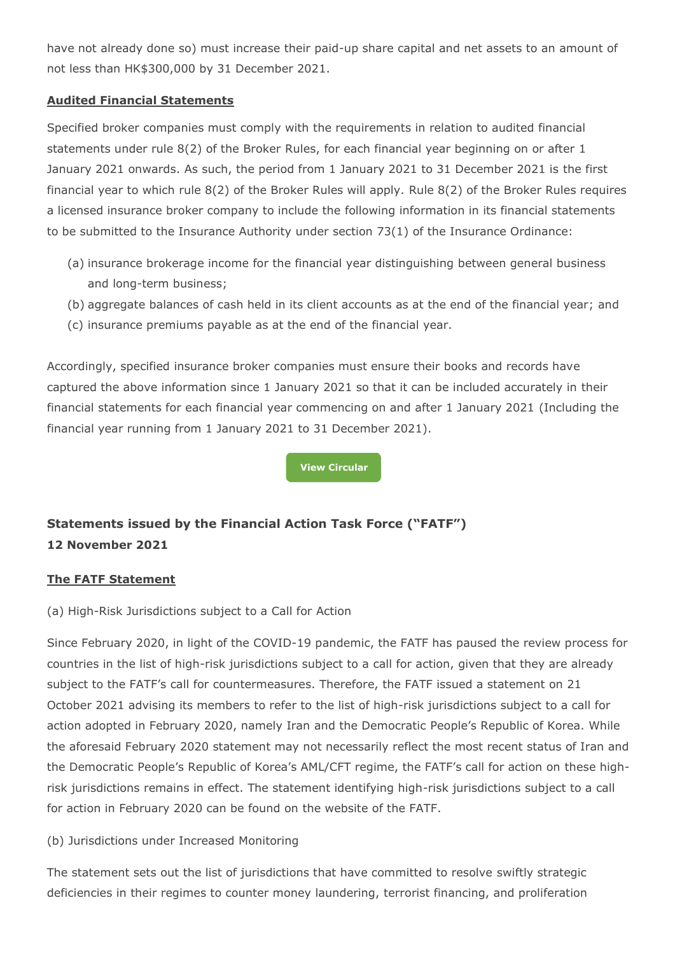have not already done so) must increase their paid-up share capital and net assets to an amount of not less than HK\$300,000 by 31 December 2021.

#### **Audited Financial Statements**

Specified broker companies must comply with the requirements in relation to audited financial statements under rule 8(2) of the Broker Rules, for each financial year beginning on or after 1 January 2021 onwards. As such, the period from 1 January 2021 to 31 December 2021 is the first financial year to which rule 8(2) of the Broker Rules will apply. Rule 8(2) of the Broker Rules requires a licensed insurance broker company to include the following information in its financial statements to be submitted to the Insurance Authority under section 73(1) of the Insurance Ordinance:

- (a) insurance brokerage income for the financial year distinguishing between general business and long-term business;
- (b) aggregate balances of cash held in its client accounts as at the end of the financial year; and
- (c) insurance premiums payable as at the end of the financial year.

Accordingly, specified insurance broker companies must ensure their books and records have captured the above information since 1 January 2021 so that it can be included accurately in their financial statements for each financial year commencing on and after 1 January 2021 (Including the financial year running from 1 January 2021 to 31 December 2021).

**[View Circular](https://www.ia.org.hk/en/legislative_framework/circulars/reg_matters/files/Cir_dd_23112021.pdf)**

## **Statements issued by the Financial Action Task Force ("FATF") 12 November 2021**

#### **The FATF Statement**

(a) High-Risk Jurisdictions subject to a Call for Action

Since February 2020, in light of the COVID-19 pandemic, the FATF has paused the review process for countries in the list of high-risk jurisdictions subject to a call for action, given that they are already subject to the FATF's call for countermeasures. Therefore, the FATF issued a statement on 21 October 2021 advising its members to refer to the list of high-risk jurisdictions subject to a call for action adopted in February 2020, namely Iran and the Democratic People's Republic of Korea. While the aforesaid February 2020 statement may not necessarily reflect the most recent status of Iran and the Democratic People's Republic of Korea's AML/CFT regime, the FATF's call for action on these highrisk jurisdictions remains in effect. The statement identifying high-risk jurisdictions subject to a call for action in February 2020 can be found on the website of the FATF.

#### (b) Jurisdictions under Increased Monitoring

The statement sets out the list of jurisdictions that have committed to resolve swiftly strategic deficiencies in their regimes to counter money laundering, terrorist financing, and proliferation